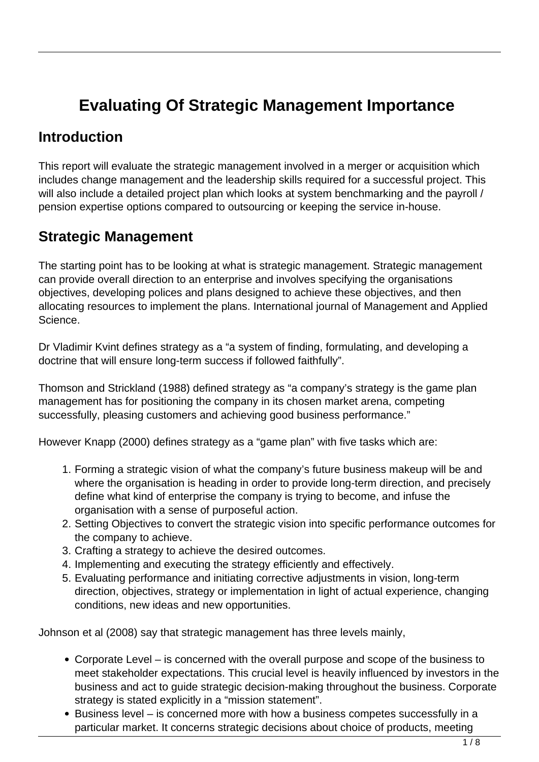# **Evaluating Of Strategic Management Importance**

#### **Introduction**

This report will evaluate the strategic management involved in a merger or acquisition which includes change management and the leadership skills required for a successful project. This will also include a detailed project plan which looks at system benchmarking and the payroll / pension expertise options compared to outsourcing or keeping the service in-house.

### **Strategic Management**

The starting point has to be looking at what is strategic management. Strategic management can provide overall direction to an enterprise and involves specifying the organisations objectives, developing polices and plans designed to achieve these objectives, and then allocating resources to implement the plans. International journal of Management and Applied Science.

Dr Vladimir Kvint defines strategy as a "a system of finding, formulating, and developing a doctrine that will ensure long-term success if followed faithfully".

Thomson and Strickland (1988) defined strategy as "a company's strategy is the game plan management has for positioning the company in its chosen market arena, competing successfully, pleasing customers and achieving good business performance."

However Knapp (2000) defines strategy as a "game plan" with five tasks which are:

- 1. Forming a strategic vision of what the company's future business makeup will be and where the organisation is heading in order to provide long-term direction, and precisely define what kind of enterprise the company is trying to become, and infuse the organisation with a sense of purposeful action.
- 2. Setting Objectives to convert the strategic vision into specific performance outcomes for the company to achieve.
- 3. Crafting a strategy to achieve the desired outcomes.
- 4. Implementing and executing the strategy efficiently and effectively.
- 5. Evaluating performance and initiating corrective adjustments in vision, long-term direction, objectives, strategy or implementation in light of actual experience, changing conditions, new ideas and new opportunities.

Johnson et al (2008) say that strategic management has three levels mainly,

- Corporate Level is concerned with the overall purpose and scope of the business to meet stakeholder expectations. This crucial level is heavily influenced by investors in the business and act to guide strategic decision-making throughout the business. Corporate strategy is stated explicitly in a "mission statement".
- Business level is concerned more with how a business competes successfully in a particular market. It concerns strategic decisions about choice of products, meeting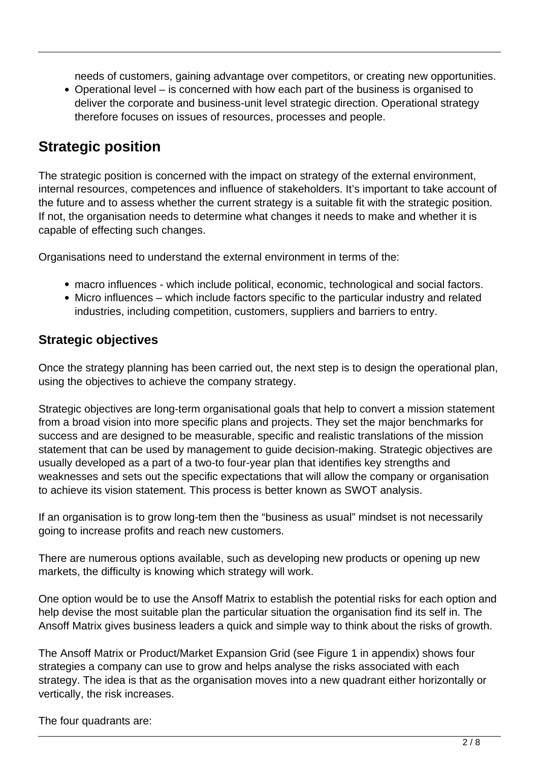needs of customers, gaining advantage over competitors, or creating new opportunities.

Operational level – is concerned with how each part of the business is organised to deliver the corporate and business-unit level strategic direction. Operational strategy therefore focuses on issues of resources, processes and people.

#### **Strategic position**

The strategic position is concerned with the impact on strategy of the external environment, internal resources, competences and influence of stakeholders. It's important to take account of the future and to assess whether the current strategy is a suitable fit with the strategic position. If not, the organisation needs to determine what changes it needs to make and whether it is capable of effecting such changes.

Organisations need to understand the external environment in terms of the:

- macro influences which include political, economic, technological and social factors.
- Micro influences which include factors specific to the particular industry and related industries, including competition, customers, suppliers and barriers to entry.

#### **Strategic objectives**

Once the strategy planning has been carried out, the next step is to design the operational plan, using the objectives to achieve the company strategy.

Strategic objectives are long-term organisational goals that help to convert a mission statement from a broad vision into more specific plans and projects. They set the major benchmarks for success and are designed to be measurable, specific and realistic translations of the mission statement that can be used by management to guide decision-making. Strategic objectives are usually developed as a part of a two-to four-year plan that identifies key strengths and weaknesses and sets out the specific expectations that will allow the company or organisation to achieve its vision statement. This process is better known as SWOT analysis.

If an organisation is to grow long-tem then the "business as usual" mindset is not necessarily going to increase profits and reach new customers.

There are numerous options available, such as developing new products or opening up new markets, the difficulty is knowing which strategy will work.

One option would be to use the Ansoff Matrix to establish the potential risks for each option and help devise the most suitable plan the particular situation the organisation find its self in. The Ansoff Matrix gives business leaders a quick and simple way to think about the risks of growth.

The Ansoff Matrix or Product/Market Expansion Grid (see Figure 1 in appendix) shows four strategies a company can use to grow and helps analyse the risks associated with each strategy. The idea is that as the organisation moves into a new quadrant either horizontally or vertically, the risk increases.

The four quadrants are: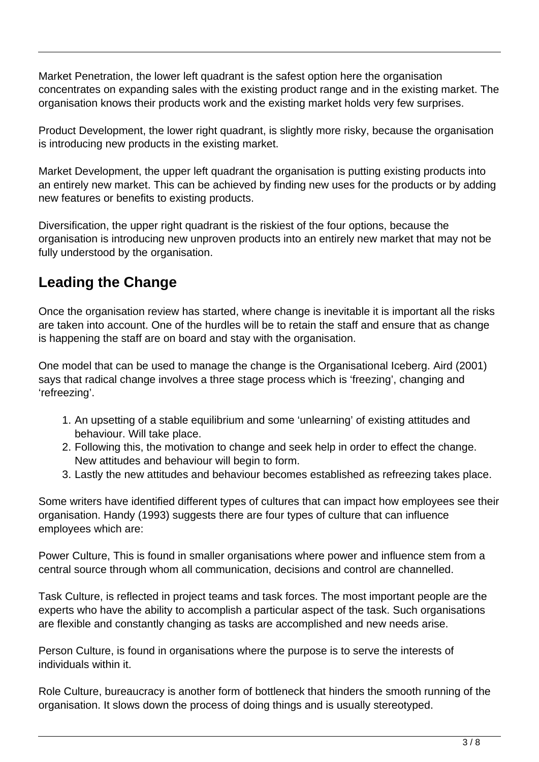Market Penetration, the lower left quadrant is the safest option here the organisation concentrates on expanding sales with the existing product range and in the existing market. The organisation knows their products work and the existing market holds very few surprises.

Product Development, the lower right quadrant, is slightly more risky, because the organisation is introducing new products in the existing market.

Market Development, the upper left quadrant the organisation is putting existing products into an entirely new market. This can be achieved by finding new uses for the products or by adding new features or benefits to existing products.

Diversification, the upper right quadrant is the riskiest of the four options, because the organisation is introducing new unproven products into an entirely new market that may not be fully understood by the organisation.

### **Leading the Change**

Once the organisation review has started, where change is inevitable it is important all the risks are taken into account. One of the hurdles will be to retain the staff and ensure that as change is happening the staff are on board and stay with the organisation.

One model that can be used to manage the change is the Organisational Iceberg. Aird (2001) says that radical change involves a three stage process which is 'freezing', changing and 'refreezing'.

- 1. An upsetting of a stable equilibrium and some 'unlearning' of existing attitudes and behaviour. Will take place.
- 2. Following this, the motivation to change and seek help in order to effect the change. New attitudes and behaviour will begin to form.
- 3. Lastly the new attitudes and behaviour becomes established as refreezing takes place.

Some writers have identified different types of cultures that can impact how employees see their organisation. Handy (1993) suggests there are four types of culture that can influence employees which are:

Power Culture, This is found in smaller organisations where power and influence stem from a central source through whom all communication, decisions and control are channelled.

Task Culture, is reflected in project teams and task forces. The most important people are the experts who have the ability to accomplish a particular aspect of the task. Such organisations are flexible and constantly changing as tasks are accomplished and new needs arise.

Person Culture, is found in organisations where the purpose is to serve the interests of individuals within it.

Role Culture, bureaucracy is another form of bottleneck that hinders the smooth running of the organisation. It slows down the process of doing things and is usually stereotyped.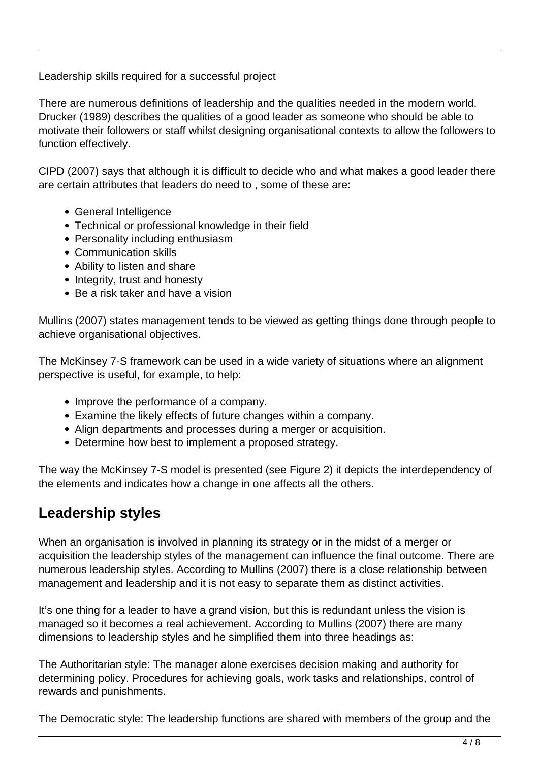Leadership skills required for a successful project

There are numerous definitions of leadership and the qualities needed in the modern world. Drucker (1989) describes the qualities of a good leader as someone who should be able to motivate their followers or staff whilst designing organisational contexts to allow the followers to function effectively.

CIPD (2007) says that although it is difficult to decide who and what makes a good leader there are certain attributes that leaders do need to , some of these are:

- General Intelligence
- Technical or professional knowledge in their field
- Personality including enthusiasm
- Communication skills
- Ability to listen and share
- Integrity, trust and honesty
- Be a risk taker and have a vision

Mullins (2007) states management tends to be viewed as getting things done through people to achieve organisational objectives.

The McKinsey 7-S framework can be used in a wide variety of situations where an alignment perspective is useful, for example, to help:

- Improve the performance of a company.
- Examine the likely effects of future changes within a company.
- Align departments and processes during a merger or acquisition.
- Determine how best to implement a proposed strategy.

The way the McKinsey 7-S model is presented (see Figure 2) it depicts the interdependency of the elements and indicates how a change in one affects all the others.

#### **Leadership styles**

When an organisation is involved in planning its strategy or in the midst of a merger or acquisition the leadership styles of the management can influence the final outcome. There are numerous leadership styles. According to Mullins (2007) there is a close relationship between management and leadership and it is not easy to separate them as distinct activities.

It's one thing for a leader to have a grand vision, but this is redundant unless the vision is managed so it becomes a real achievement. According to Mullins (2007) there are many dimensions to leadership styles and he simplified them into three headings as:

The Authoritarian style: The manager alone exercises decision making and authority for determining policy. Procedures for achieving goals, work tasks and relationships, control of rewards and punishments.

The Democratic style: The leadership functions are shared with members of the group and the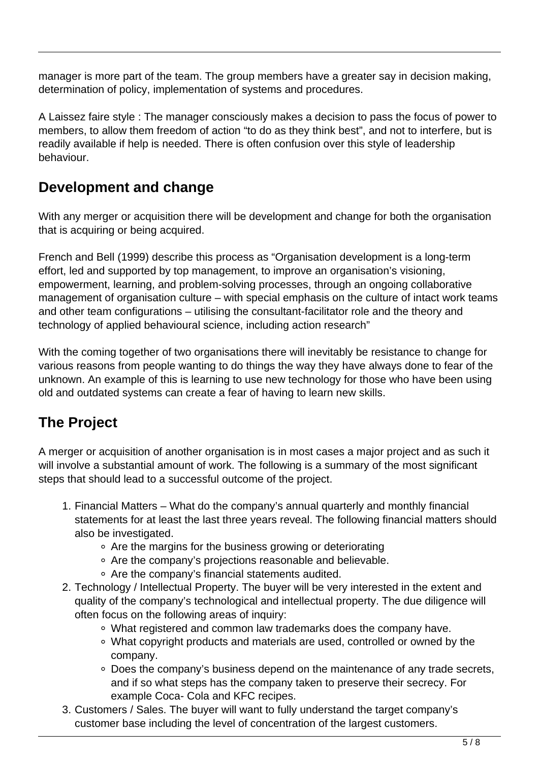manager is more part of the team. The group members have a greater say in decision making, determination of policy, implementation of systems and procedures.

A Laissez faire style : The manager consciously makes a decision to pass the focus of power to members, to allow them freedom of action "to do as they think best", and not to interfere, but is readily available if help is needed. There is often confusion over this style of leadership behaviour.

### **Development and change**

With any merger or acquisition there will be development and change for both the organisation that is acquiring or being acquired.

French and Bell (1999) describe this process as "Organisation development is a long-term effort, led and supported by top management, to improve an organisation's visioning, empowerment, learning, and problem-solving processes, through an ongoing collaborative management of organisation culture – with special emphasis on the culture of intact work teams and other team configurations – utilising the consultant-facilitator role and the theory and technology of applied behavioural science, including action research"

With the coming together of two organisations there will inevitably be resistance to change for various reasons from people wanting to do things the way they have always done to fear of the unknown. An example of this is learning to use new technology for those who have been using old and outdated systems can create a fear of having to learn new skills.

## **The Project**

A merger or acquisition of another organisation is in most cases a major project and as such it will involve a substantial amount of work. The following is a summary of the most significant steps that should lead to a successful outcome of the project.

- 1. Financial Matters What do the company's annual quarterly and monthly financial statements for at least the last three years reveal. The following financial matters should also be investigated.
	- Are the margins for the business growing or deteriorating
	- Are the company's projections reasonable and believable.
	- Are the company's financial statements audited.
- 2. Technology / Intellectual Property. The buyer will be very interested in the extent and quality of the company's technological and intellectual property. The due diligence will often focus on the following areas of inquiry:
	- What registered and common law trademarks does the company have.
	- What copyright products and materials are used, controlled or owned by the company.
	- Does the company's business depend on the maintenance of any trade secrets, and if so what steps has the company taken to preserve their secrecy. For example Coca- Cola and KFC recipes.
- 3. Customers / Sales. The buyer will want to fully understand the target company's customer base including the level of concentration of the largest customers.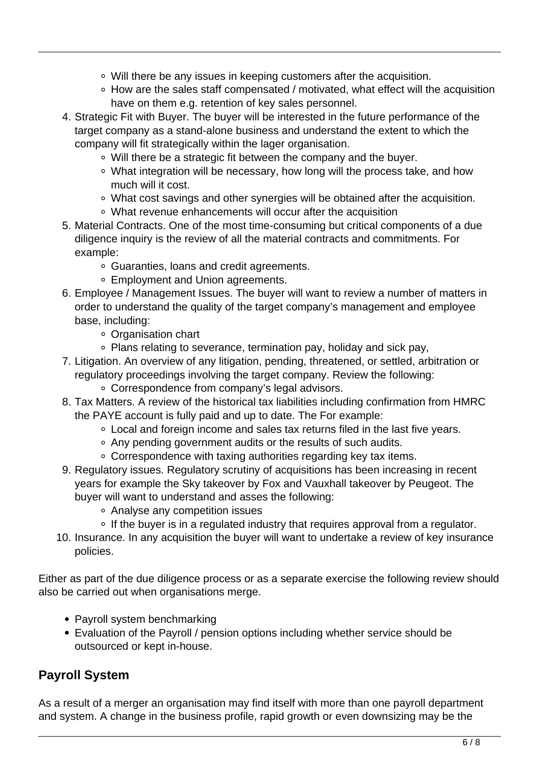- Will there be any issues in keeping customers after the acquisition.
- How are the sales staff compensated / motivated, what effect will the acquisition have on them e.g. retention of key sales personnel.
- 4. Strategic Fit with Buyer. The buyer will be interested in the future performance of the target company as a stand-alone business and understand the extent to which the company will fit strategically within the lager organisation.
	- Will there be a strategic fit between the company and the buyer.
	- What integration will be necessary, how long will the process take, and how much will it cost.
	- What cost savings and other synergies will be obtained after the acquisition.
	- What revenue enhancements will occur after the acquisition
- 5. Material Contracts. One of the most time-consuming but critical components of a due diligence inquiry is the review of all the material contracts and commitments. For example:
	- Guaranties, loans and credit agreements.
	- Employment and Union agreements.
- 6. Employee / Management Issues. The buyer will want to review a number of matters in order to understand the quality of the target company's management and employee base, including:
	- Organisation chart
	- Plans relating to severance, termination pay, holiday and sick pay,
- 7. Litigation. An overview of any litigation, pending, threatened, or settled, arbitration or regulatory proceedings involving the target company. Review the following:
	- Correspondence from company's legal advisors.
- 8. Tax Matters. A review of the historical tax liabilities including confirmation from HMRC the PAYE account is fully paid and up to date. The For example:
	- Local and foreign income and sales tax returns filed in the last five years.
	- Any pending government audits or the results of such audits.
	- Correspondence with taxing authorities regarding key tax items.
- 9. Regulatory issues. Regulatory scrutiny of acquisitions has been increasing in recent years for example the Sky takeover by Fox and Vauxhall takeover by Peugeot. The buyer will want to understand and asses the following:
	- Analyse any competition issues
	- If the buyer is in a regulated industry that requires approval from a regulator.
- 10. Insurance. In any acquisition the buyer will want to undertake a review of key insurance policies.

Either as part of the due diligence process or as a separate exercise the following review should also be carried out when organisations merge.

- Payroll system benchmarking
- Evaluation of the Payroll / pension options including whether service should be outsourced or kept in-house.

#### **Payroll System**

As a result of a merger an organisation may find itself with more than one payroll department and system. A change in the business profile, rapid growth or even downsizing may be the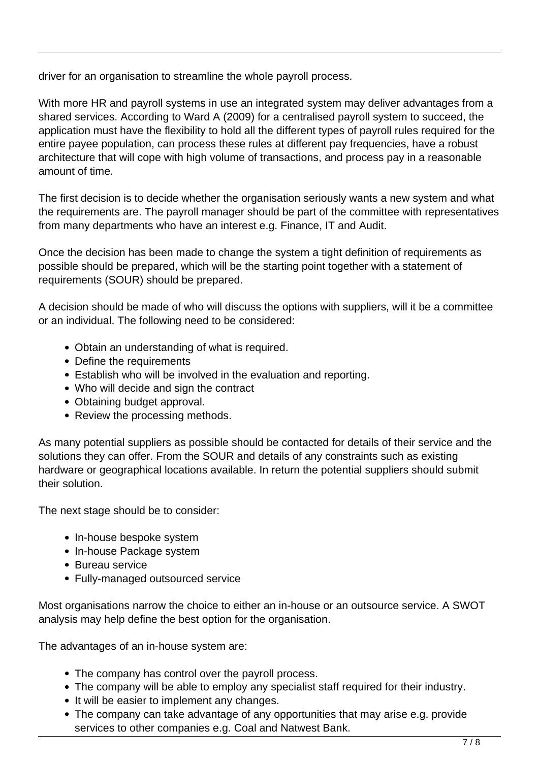driver for an organisation to streamline the whole payroll process.

With more HR and payroll systems in use an integrated system may deliver advantages from a shared services. According to Ward A (2009) for a centralised payroll system to succeed, the application must have the flexibility to hold all the different types of payroll rules required for the entire payee population, can process these rules at different pay frequencies, have a robust architecture that will cope with high volume of transactions, and process pay in a reasonable amount of time.

The first decision is to decide whether the organisation seriously wants a new system and what the requirements are. The payroll manager should be part of the committee with representatives from many departments who have an interest e.g. Finance, IT and Audit.

Once the decision has been made to change the system a tight definition of requirements as possible should be prepared, which will be the starting point together with a statement of requirements (SOUR) should be prepared.

A decision should be made of who will discuss the options with suppliers, will it be a committee or an individual. The following need to be considered:

- Obtain an understanding of what is required.
- Define the requirements
- Establish who will be involved in the evaluation and reporting.
- Who will decide and sign the contract
- Obtaining budget approval.
- Review the processing methods.

As many potential suppliers as possible should be contacted for details of their service and the solutions they can offer. From the SOUR and details of any constraints such as existing hardware or geographical locations available. In return the potential suppliers should submit their solution.

The next stage should be to consider:

- In-house bespoke system
- In-house Package system
- Bureau service
- Fully-managed outsourced service

Most organisations narrow the choice to either an in-house or an outsource service. A SWOT analysis may help define the best option for the organisation.

The advantages of an in-house system are:

- The company has control over the payroll process.
- The company will be able to employ any specialist staff required for their industry.
- It will be easier to implement any changes.
- The company can take advantage of any opportunities that may arise e.g. provide services to other companies e.g. Coal and Natwest Bank.